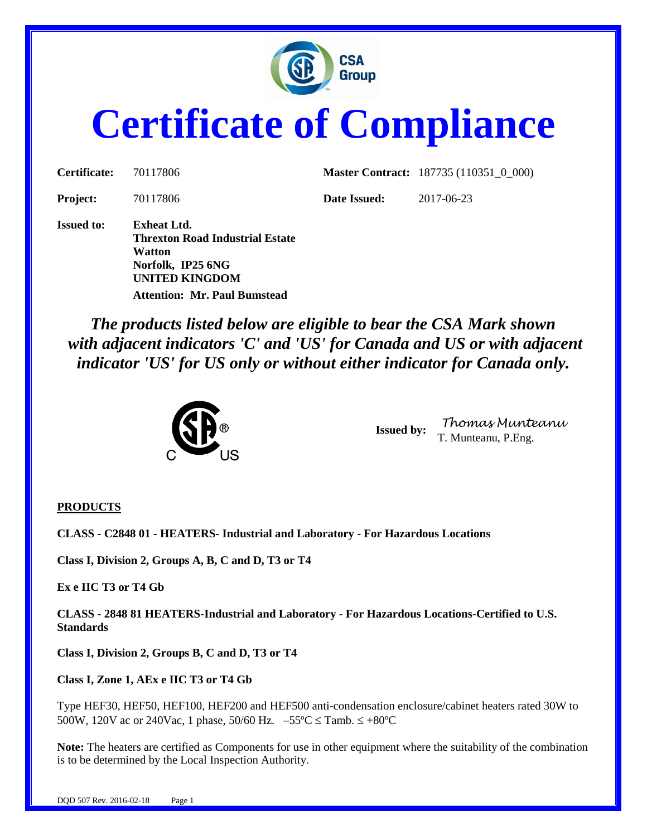

# **Certificate of Compliance**

| Certificate:    | 70117806 |  |
|-----------------|----------|--|
| <b>Project:</b> | 70117806 |  |

**Master Contract:** 187735 (110351\_0\_000)

**Project:** 2017-06-23

**Issued to: Exheat Ltd. Threxton Road Industrial Estate Watton Norfolk, IP25 6NG UNITED KINGDOM Attention: Mr. Paul Bumstead**

*The products listed below are eligible to bear the CSA Mark shown with adjacent indicators 'C' and 'US' for Canada and US or with adjacent indicator 'US' for US only or without either indicator for Canada only.*



**Issued by:** *Thomas Munteanu* T. Munteanu, P.Eng.

#### **PRODUCTS**

**CLASS - C2848 01 - HEATERS- Industrial and Laboratory - For Hazardous Locations**

**Class I, Division 2, Groups A, B, C and D, T3 or T4**

**Ex e IIC T3 or T4 Gb** 

**CLASS - 2848 81 HEATERS-Industrial and Laboratory - For Hazardous Locations-Certified to U.S. Standards**

**Class I, Division 2, Groups B, C and D, T3 or T4**

**Class I, Zone 1, AEx e IIC T3 or T4 Gb**

Type HEF30, HEF50, HEF100, HEF200 and HEF500 anti-condensation enclosure/cabinet heaters rated 30W to 500W, 120V ac or 240Vac, 1 phase, 50/60 Hz.  $-55^{\circ}$ C  $\leq$  Tamb.  $\leq +80^{\circ}$ C

**Note:** The heaters are certified as Components for use in other equipment where the suitability of the combination is to be determined by the Local Inspection Authority.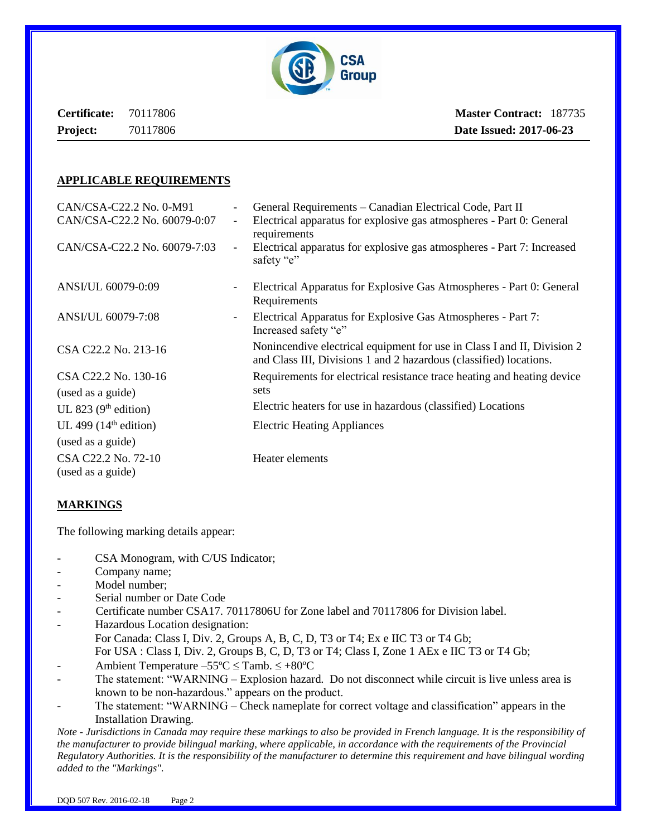

**Certificate:** 70117806 **Project:** 70117806

**Master Contract:** 187735  **Date Issued: 2017-06-23**

#### **APPLICABLE REQUIREMENTS**

| CAN/CSA-C22.2 No. 0-M91                  |                          | General Requirements – Canadian Electrical Code, Part II                                                                                      |
|------------------------------------------|--------------------------|-----------------------------------------------------------------------------------------------------------------------------------------------|
| CAN/CSA-C22.2 No. 60079-0:07             | $\overline{\phantom{a}}$ | Electrical apparatus for explosive gas atmospheres - Part 0: General<br>requirements                                                          |
| CAN/CSA-C22.2 No. 60079-7:03             | $\overline{\phantom{a}}$ | Electrical apparatus for explosive gas atmospheres - Part 7: Increased<br>safety "e"                                                          |
| ANSI/UL 60079-0:09                       | $\overline{\phantom{a}}$ | Electrical Apparatus for Explosive Gas Atmospheres - Part 0: General<br>Requirements                                                          |
| ANSI/UL 60079-7:08                       | $\overline{\phantom{0}}$ | Electrical Apparatus for Explosive Gas Atmospheres - Part 7:<br>Increased safety "e"                                                          |
| CSA C22.2 No. 213-16                     |                          | Nonincendive electrical equipment for use in Class I and II, Division 2<br>and Class III, Divisions 1 and 2 hazardous (classified) locations. |
| CSA C22.2 No. 130-16                     |                          | Requirements for electrical resistance trace heating and heating device                                                                       |
| (used as a guide)                        |                          | sets                                                                                                                                          |
| UL 823 $(9th$ edition)                   |                          | Electric heaters for use in hazardous (classified) Locations                                                                                  |
| UL 499 $(14th$ edition)                  |                          | <b>Electric Heating Appliances</b>                                                                                                            |
| (used as a guide)                        |                          |                                                                                                                                               |
| CSA C22.2 No. 72-10<br>(used as a guide) |                          | Heater elements                                                                                                                               |

#### **MARKINGS**

The following marking details appear:

- CSA Monogram, with C/US Indicator;
- Company name;
- Model number;
- Serial number or Date Code
- Certificate number CSA17. 70117806U for Zone label and 70117806 for Division label.
- Hazardous Location designation: For Canada: Class I, Div. 2, Groups A, B, C, D, T3 or T4; Ex e IIC T3 or T4 Gb; For USA : Class I, Div. 2, Groups B, C, D, T3 or T4; Class I, Zone 1 AEx e IIC T3 or T4 Gb;
- Ambient Temperature  $-55^{\circ}$ C  $\leq$  Tamb.  $\leq +80^{\circ}$ C
- The statement: "WARNING Explosion hazard. Do not disconnect while circuit is live unless area is known to be non-hazardous." appears on the product.
- The statement: "WARNING Check nameplate for correct voltage and classification" appears in the Installation Drawing.

*Note - Jurisdictions in Canada may require these markings to also be provided in French language. It is the responsibility of the manufacturer to provide bilingual marking, where applicable, in accordance with the requirements of the Provincial Regulatory Authorities. It is the responsibility of the manufacturer to determine this requirement and have bilingual wording added to the "Markings".*